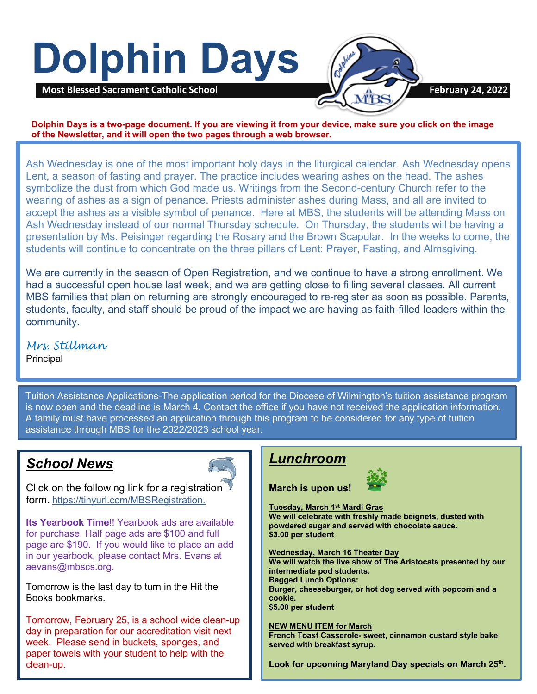# **Dolphin Days**



**Dolphin Days is a two-page document. If you are viewing it from your device, make sure you click on the image of the Newsletter, and it will open the two pages through a web browser.**

Ash Wednesday is one of the most important holy days in the liturgical calendar. Ash Wednesday opens Lent, a season of fasting and prayer. The practice includes wearing ashes on the head. The ashes symbolize the dust from which God made us. Writings from the Second-century Church refer to the wearing of ashes as a sign of penance. Priests administer ashes during Mass, and all are invited to accept the ashes as a visible symbol of penance. Here at MBS, the students will be attending Mass on Ash Wednesday instead of our normal Thursday schedule. On Thursday, the students will be having a presentation by Ms. Peisinger regarding the Rosary and the Brown Scapular. In the weeks to come, the students will continue to concentrate on the three pillars of Lent: Prayer, Fasting, and Almsgiving.

We are currently in the season of Open Registration, and we continue to have a strong enrollment. We had a successful open house last week, and we are getting close to filling several classes. All current MBS families that plan on returning are strongly encouraged to re-register as soon as possible. Parents, students, faculty, and staff should be proud of the impact we are having as faith-filled leaders within the community.

 *Mrs. Stillman* **Principal** 

 A family must have processed an application through this program to be considered for any type of tuition Tuition Assistance Applications-The application period for the Diocese of Wilmington's tuition assistance program is now open and the deadline is March 4. Contact the office if you have not received the application information. assistance through MBS for the 2022/2023 school year.

## *School News*



Click on the following link for a registration form. [https://tinyurl.com/MBSRegistration.](https://nam11.safelinks.protection.outlook.com/?url=https%3A%2F%2Ftinyurl.com%2FMBSRegistration&data=04%7C01%7C%7C2161864bf0d14963e73908d9e71f5dd5%7C379336db33b747f882778ec04b5335cc%7C1%7C0%7C637794944183364680%7CUnknown%7CTWFpbGZsb3d8eyJWIjoiMC4wLjAwMDAiLCJQIjoiV2luMzIiLCJBTiI6Ik1haWwiLCJXVCI6Mn0%3D%7C3000&sdata=RQlruae44SedGo1g2kFGVSaBqwqCDuJZA2%2FJyt1WdYw%3D&reserved=0)

**Its Yearbook Time**!! Yearbook ads are available for purchase. Half page ads are \$100 and full page are \$190. If you would like to place an add in our yearbook, please contact Mrs. Evans at aevans@mbscs.org.

Tomorrow is the last day to turn in the Hit the Books bookmarks.

Tomorrow, February 25, is a school wide clean-up day in preparation for our accreditation visit next week. Please send in buckets, sponges, and paper towels with your student to help with the clean-up.

## *Lunchroom*

**March is upon us!** 



**Tuesday, March 1st Mardi Gras**

**We will celebrate with freshly made beignets, dusted with powdered sugar and served with chocolate sauce. \$3.00 per student**

**Wednesday, March 16 Theater Day**

**We will watch the live show of The Aristocats presented by our intermediate pod students. Bagged Lunch Options: Burger, cheeseburger, or hot dog served with popcorn and a cookie. \$5.00 per student**

#### **NEW MENU ITEM for March**

**French Toast Casserole- sweet, cinnamon custard style bake served with breakfast syrup.**

**Look for upcoming Maryland Day specials on March 25th.**